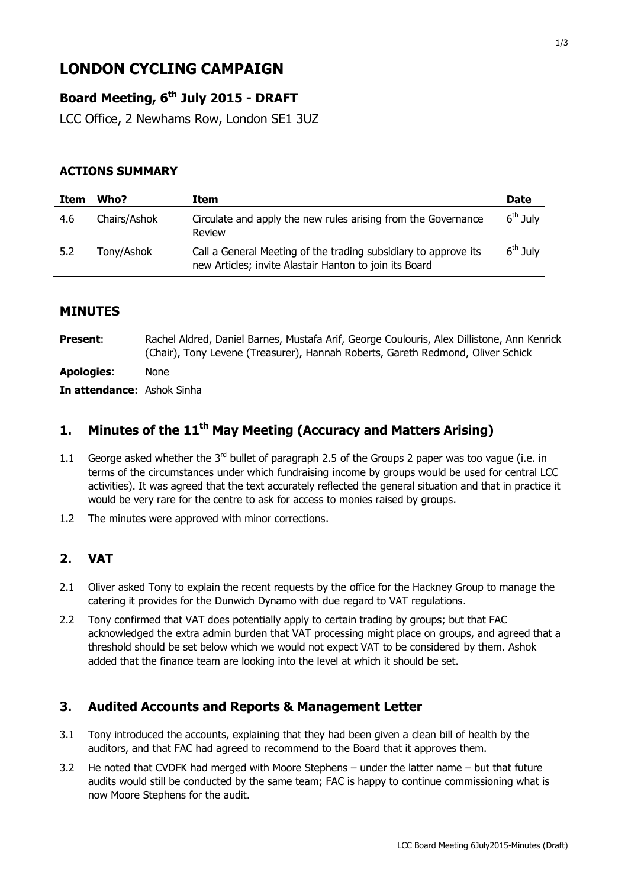# **LONDON CYCLING CAMPAIGN**

# **Board Meeting, 6 th July 2015 - DRAFT**

LCC Office, 2 Newhams Row, London SE1 3UZ

#### **ACTIONS SUMMARY**

| Item | Who?         | Item                                                                                                                      | <b>Date</b> |
|------|--------------|---------------------------------------------------------------------------------------------------------------------------|-------------|
| 4.6  | Chairs/Ashok | Circulate and apply the new rules arising from the Governance<br>Review                                                   | $6th$ July  |
| 5.2  | Tony/Ashok   | Call a General Meeting of the trading subsidiary to approve its<br>new Articles; invite Alastair Hanton to join its Board | $6th$ July  |

#### **MINUTES**

Present: Rachel Aldred, Daniel Barnes, Mustafa Arif, George Coulouris, Alex Dillistone, Ann Kenrick (Chair), Tony Levene (Treasurer), Hannah Roberts, Gareth Redmond, Oliver Schick **Apologies**: None

**In attendance**: Ashok Sinha

# **1. Minutes of the 11th May Meeting (Accuracy and Matters Arising)**

- 1.1 George asked whether the 3<sup>rd</sup> bullet of paragraph 2.5 of the Groups 2 paper was too vague (i.e. in terms of the circumstances under which fundraising income by groups would be used for central LCC activities). It was agreed that the text accurately reflected the general situation and that in practice it would be very rare for the centre to ask for access to monies raised by groups.
- 1.2 The minutes were approved with minor corrections.

#### **2. VAT**

- 2.1 Oliver asked Tony to explain the recent requests by the office for the Hackney Group to manage the catering it provides for the Dunwich Dynamo with due regard to VAT regulations.
- 2.2 Tony confirmed that VAT does potentially apply to certain trading by groups; but that FAC acknowledged the extra admin burden that VAT processing might place on groups, and agreed that a threshold should be set below which we would not expect VAT to be considered by them. Ashok added that the finance team are looking into the level at which it should be set.

#### **3. Audited Accounts and Reports & Management Letter**

- 3.1 Tony introduced the accounts, explaining that they had been given a clean bill of health by the auditors, and that FAC had agreed to recommend to the Board that it approves them.
- 3.2 He noted that CVDFK had merged with Moore Stephens under the latter name but that future audits would still be conducted by the same team; FAC is happy to continue commissioning what is now Moore Stephens for the audit.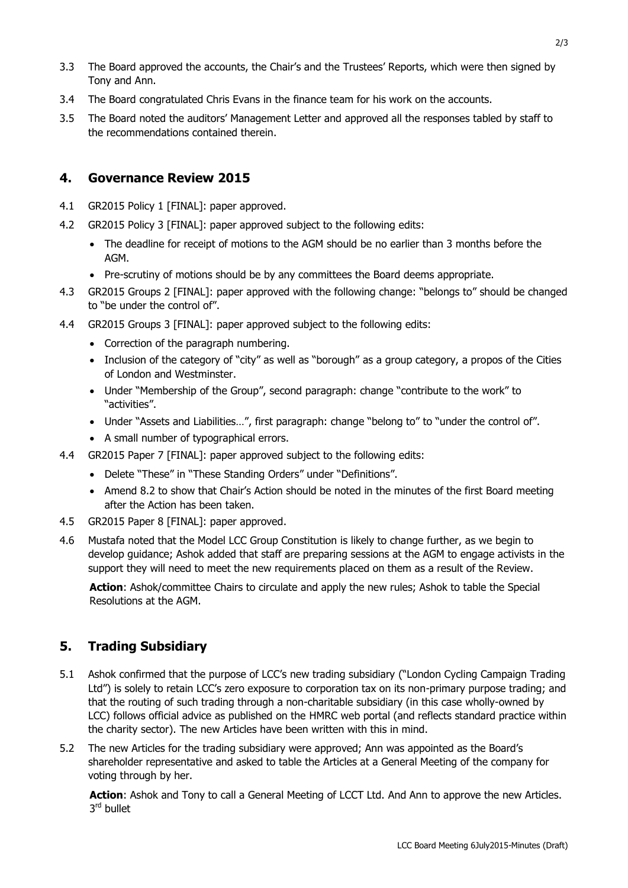- 3.3 The Board approved the accounts, the Chair's and the Trustees' Reports, which were then signed by Tony and Ann.
- 3.4 The Board congratulated Chris Evans in the finance team for his work on the accounts.
- 3.5 The Board noted the auditors' Management Letter and approved all the responses tabled by staff to the recommendations contained therein.

# **4. Governance Review 2015**

- 4.1 GR2015 Policy 1 [FINAL]: paper approved.
- 4.2 GR2015 Policy 3 [FINAL]: paper approved subject to the following edits:
	- The deadline for receipt of motions to the AGM should be no earlier than 3 months before the AGM.
	- Pre-scrutiny of motions should be by any committees the Board deems appropriate.
- 4.3 GR2015 Groups 2 [FINAL]: paper approved with the following change: "belongs to" should be changed to "be under the control of".
- 4.4 GR2015 Groups 3 [FINAL]: paper approved subject to the following edits:
	- Correction of the paragraph numbering.
	- Inclusion of the category of "city" as well as "borough" as a group category, a propos of the Cities of London and Westminster.
	- Under "Membership of the Group", second paragraph: change "contribute to the work" to "activities".
	- Under "Assets and Liabilities...", first paragraph: change "belong to" to "under the control of".
	- A small number of typographical errors.
- 4.4 GR2015 Paper 7 [FINAL]: paper approved subject to the following edits:
	- Delete "These" in "These Standing Orders" under "Definitions".
	- Amend 8.2 to show that Chair's Action should be noted in the minutes of the first Board meeting after the Action has been taken.
- 4.5 GR2015 Paper 8 [FINAL]: paper approved.
- 4.6 Mustafa noted that the Model LCC Group Constitution is likely to change further, as we begin to develop guidance; Ashok added that staff are preparing sessions at the AGM to engage activists in the support they will need to meet the new requirements placed on them as a result of the Review.

**Action**: Ashok/committee Chairs to circulate and apply the new rules; Ashok to table the Special Resolutions at the AGM.

# **5. Trading Subsidiary**

- 5.1 Ashok confirmed that the purpose of LCC's new trading subsidiary ("London Cycling Campaign Trading Ltd") is solely to retain LCC's zero exposure to corporation tax on its non-primary purpose trading; and that the routing of such trading through a non-charitable subsidiary (in this case wholly-owned by LCC) follows official advice as published on the HMRC web portal (and reflects standard practice within the charity sector). The new Articles have been written with this in mind.
- 5.2 The new Articles for the trading subsidiary were approved; Ann was appointed as the Board's shareholder representative and asked to table the Articles at a General Meeting of the company for voting through by her.

**Action**: Ashok and Tony to call a General Meeting of LCCT Ltd. And Ann to approve the new Articles. 3<sup>rd</sup> bullet